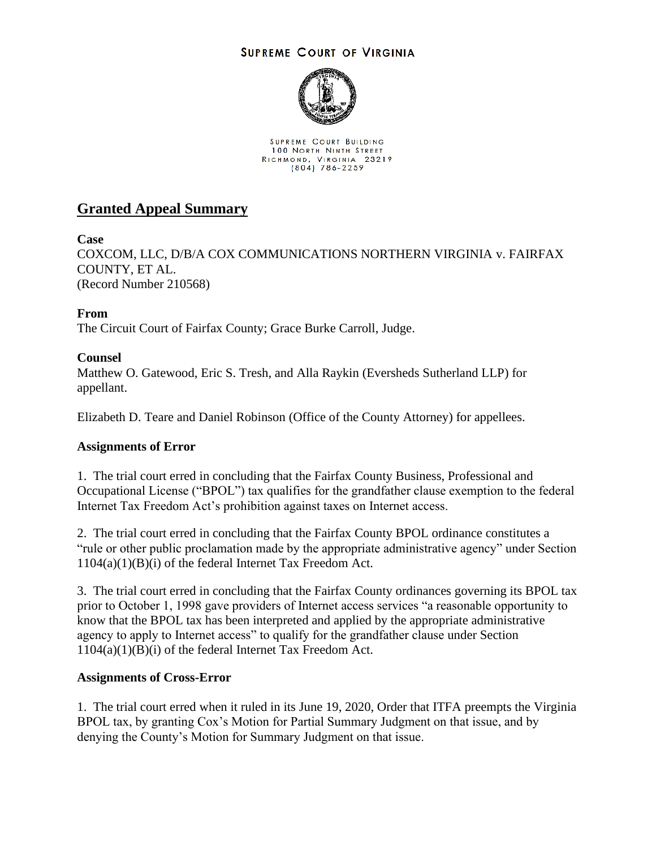## **SUPREME COURT OF VIRGINIA**



SUPREME COURT BUILDING 100 NORTH NINTH STREET RICHMOND, VIRGINIA 23219<br>(804) 786-2259

# **Granted Appeal Summary**

**Case**

COXCOM, LLC, D/B/A COX COMMUNICATIONS NORTHERN VIRGINIA v. FAIRFAX COUNTY, ET AL. (Record Number 210568)

**From**

The Circuit Court of Fairfax County; Grace Burke Carroll, Judge.

## **Counsel**

Matthew O. Gatewood, Eric S. Tresh, and Alla Raykin (Eversheds Sutherland LLP) for appellant.

Elizabeth D. Teare and Daniel Robinson (Office of the County Attorney) for appellees.

### **Assignments of Error**

1. The trial court erred in concluding that the Fairfax County Business, Professional and Occupational License ("BPOL") tax qualifies for the grandfather clause exemption to the federal Internet Tax Freedom Act's prohibition against taxes on Internet access.

2. The trial court erred in concluding that the Fairfax County BPOL ordinance constitutes a "rule or other public proclamation made by the appropriate administrative agency" under Section 1104(a)(1)(B)(i) of the federal Internet Tax Freedom Act.

3. The trial court erred in concluding that the Fairfax County ordinances governing its BPOL tax prior to October 1, 1998 gave providers of Internet access services "a reasonable opportunity to know that the BPOL tax has been interpreted and applied by the appropriate administrative agency to apply to Internet access" to qualify for the grandfather clause under Section 1104(a)(1)(B)(i) of the federal Internet Tax Freedom Act.

### **Assignments of Cross-Error**

1. The trial court erred when it ruled in its June 19, 2020, Order that ITFA preempts the Virginia BPOL tax, by granting Cox's Motion for Partial Summary Judgment on that issue, and by denying the County's Motion for Summary Judgment on that issue.